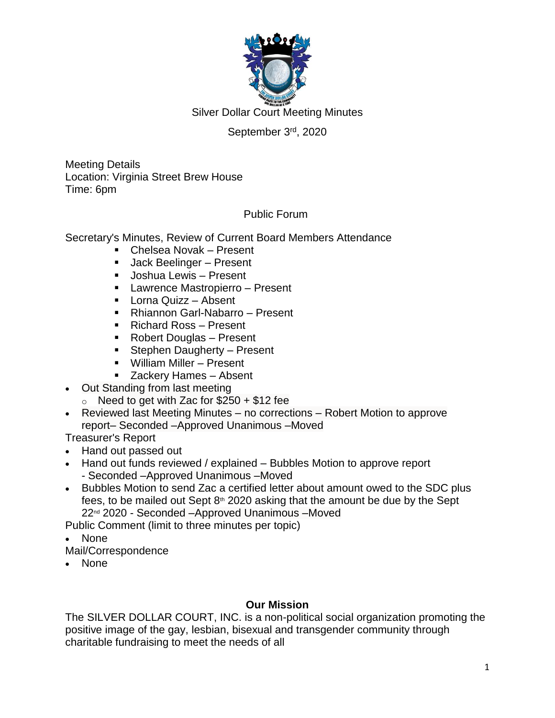

### September 3rd, 2020

Meeting Details Location: Virginia Street Brew House Time: 6pm

### Public Forum

Secretary's Minutes, Review of Current Board Members Attendance

- Chelsea Novak Present
- Jack Beelinger Present
- **Joshua Lewis Present**
- Lawrence Mastropierro Present
- **Lorna Quizz Absent**
- Rhiannon Garl-Nabarro Present
- Richard Ross Present
- Robert Douglas Present
- **Stephen Daugherty Present**
- William Miller Present
- Zackery Hames Absent
- Out Standing from last meeting
	- $\circ$  Need to get with Zac for \$250 + \$12 fee
- Reviewed last Meeting Minutes no corrections Robert Motion to approve report– Seconded –Approved Unanimous –Moved

Treasurer's Report

- Hand out passed out
- Hand out funds reviewed / explained Bubbles Motion to approve report - Seconded –Approved Unanimous –Moved
- Bubbles Motion to send Zac a certified letter about amount owed to the SDC plus fees, to be mailed out Sept  $8<sup>th</sup>$  2020 asking that the amount be due by the Sept 22<sup>nd</sup> 2020 - Seconded –Approved Unanimous –Moved

Public Comment (limit to three minutes per topic)

- None
- Mail/Correspondence
- None

### **Our Mission**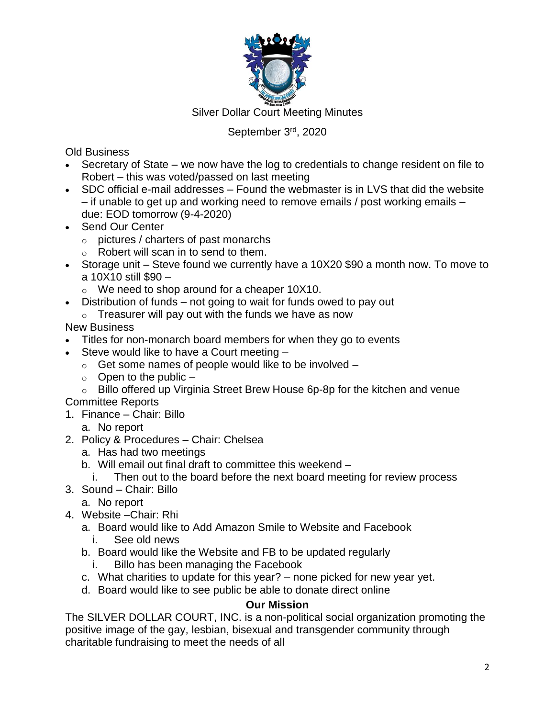

### September 3rd, 2020

Old Business

- Secretary of State we now have the log to credentials to change resident on file to Robert – this was voted/passed on last meeting
- SDC official e-mail addresses Found the webmaster is in LVS that did the website – if unable to get up and working need to remove emails / post working emails – due: EOD tomorrow (9-4-2020)
- Send Our Center
	- o pictures / charters of past monarchs
	- o Robert will scan in to send to them.
- Storage unit Steve found we currently have a 10X20 \$90 a month now. To move to a 10X10 still \$90 –
	- o We need to shop around for a cheaper 10X10.
- Distribution of funds not going to wait for funds owed to pay out
	- $\circ$  Treasurer will pay out with the funds we have as now

### New Business

- Titles for non-monarch board members for when they go to events
- Steve would like to have a Court meeting
	- $\circ$  Get some names of people would like to be involved  $-$
	- $\circ$  Open to the public  $-$
	- o Billo offered up Virginia Street Brew House 6p-8p for the kitchen and venue

# Committee Reports

- 1. Finance Chair: Billo
	- a. No report
- 2. Policy & Procedures Chair: Chelsea
	- a. Has had two meetings
	- b. Will email out final draft to committee this weekend
		- i. Then out to the board before the next board meeting for review process
- 3. Sound Chair: Billo
	- a. No report
- 4. Website –Chair: Rhi
	- a. Board would like to Add Amazon Smile to Website and Facebook i. See old news
	- b. Board would like the Website and FB to be updated regularly
		- i. Billo has been managing the Facebook
	- c. What charities to update for this year? none picked for new year yet.
	- d. Board would like to see public be able to donate direct online

### **Our Mission**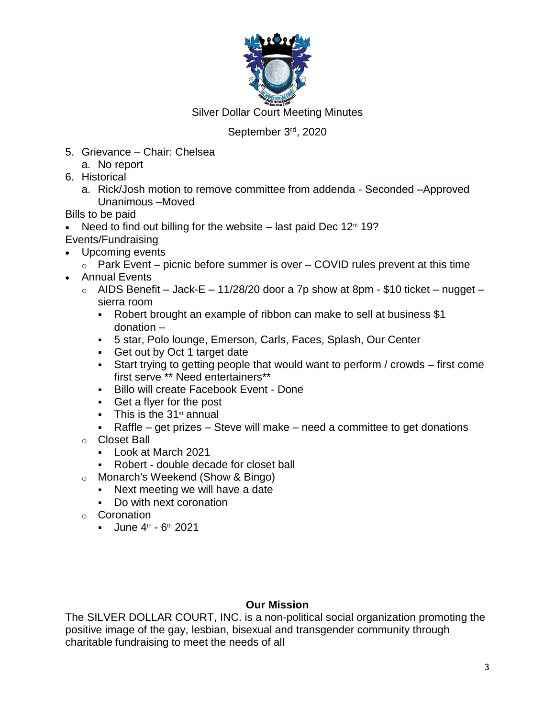

### September 3rd, 2020

- 5. Grievance Chair: Chelsea
	- a. No report
- 6. Historical
	- a. Rick/Josh motion to remove committee from addenda Seconded –Approved Unanimous –Moved

Bills to be paid

- Need to find out billing for the website last paid Dec  $12<sup>th</sup> 19$ ?
- Events/Fundraising
- Upcoming events
	- $\circ$  Park Event picnic before summer is over COVID rules prevent at this time
- Annual Events
	- $\circ$  AIDS Benefit Jack-E 11/28/20 door a 7p show at 8pm \$10 ticket nugget sierra room
		- Robert brought an example of ribbon can make to sell at business \$1 donation –
		- 5 star, Polo lounge, Emerson, Carls, Faces, Splash, Our Center
		- Get out by Oct 1 target date
		- Start trying to getting people that would want to perform / crowds first come first serve \*\* Need entertainers\*\*
		- Billo will create Facebook Event Done
		- Get a flyer for the post
		- $\blacksquare$  This is the 31<sup>st</sup> annual
		- Raffle get prizes Steve will make need a committee to get donations
	- o Closet Ball
		- Look at March 2021
		- Robert double decade for closet ball
	- o Monarch's Weekend (Show & Bingo)
		- Next meeting we will have a date
		- Do with next coronation
	- o Coronation
		- $-$  June 4<sup>th</sup> 6<sup>th</sup> 2021

# **Our Mission**